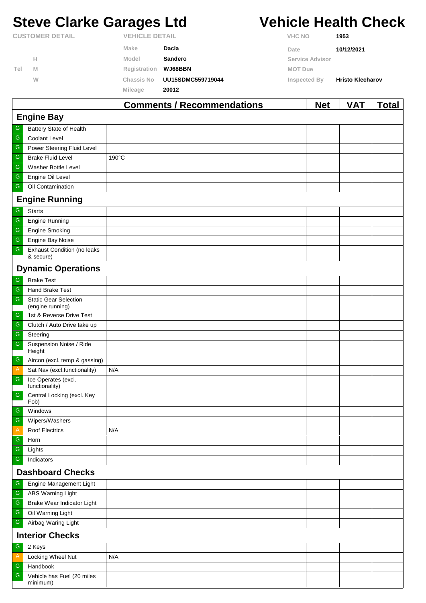# **Steve Clarke Garages Ltd Vehicle Health Check**

|                        |   |                       | <b>Comments / Recommendations</b> |                | <b>Net</b>      | <b>VAT</b>              | Total |
|------------------------|---|-----------------------|-----------------------------------|----------------|-----------------|-------------------------|-------|
|                        |   | Mileage               | 20012                             |                |                 |                         |       |
|                        | W | Chassis No            | UU15SDMC559719044                 | Inspected By   |                 | <b>Hristo Klecharov</b> |       |
| Tel                    | M | Registration          | WJ68BBN                           | <b>MOT Due</b> |                 |                         |       |
|                        | н | Model                 | Sandero                           |                | Service Advisor |                         |       |
|                        |   | Make                  | Dacia                             | Date           |                 | 10/12/2021              |       |
| <b>CUSTOMER DETAIL</b> |   | <b>VEHICLE DETAIL</b> |                                   | <b>VHC NO</b>  |                 | 1953                    |       |

|                           |                                                  | <u> Johnnems / Recommendations</u> | ייט | , , , | ı vuu |  |  |
|---------------------------|--------------------------------------------------|------------------------------------|-----|-------|-------|--|--|
| <b>Engine Bay</b>         |                                                  |                                    |     |       |       |  |  |
| G                         | Battery State of Health                          |                                    |     |       |       |  |  |
| G                         | Coolant Level                                    |                                    |     |       |       |  |  |
| G                         | Power Steering Fluid Level                       |                                    |     |       |       |  |  |
| G                         | <b>Brake Fluid Level</b>                         | 190°C                              |     |       |       |  |  |
| G                         | Washer Bottle Level                              |                                    |     |       |       |  |  |
| G                         | Engine Oil Level                                 |                                    |     |       |       |  |  |
| G                         | Oil Contamination                                |                                    |     |       |       |  |  |
|                           | <b>Engine Running</b>                            |                                    |     |       |       |  |  |
| G                         | <b>Starts</b>                                    |                                    |     |       |       |  |  |
| G                         | Engine Running                                   |                                    |     |       |       |  |  |
| G                         | <b>Engine Smoking</b>                            |                                    |     |       |       |  |  |
| G                         | Engine Bay Noise                                 |                                    |     |       |       |  |  |
| G                         | <b>Exhaust Condition (no leaks</b><br>& secure)  |                                    |     |       |       |  |  |
|                           | <b>Dynamic Operations</b>                        |                                    |     |       |       |  |  |
| ${\mathsf G}$             | <b>Brake Test</b>                                |                                    |     |       |       |  |  |
| G                         | <b>Hand Brake Test</b>                           |                                    |     |       |       |  |  |
| G                         | <b>Static Gear Selection</b><br>(engine running) |                                    |     |       |       |  |  |
| G                         | 1st & Reverse Drive Test                         |                                    |     |       |       |  |  |
| G                         | Clutch / Auto Drive take up                      |                                    |     |       |       |  |  |
| G                         | Steering                                         |                                    |     |       |       |  |  |
| G                         | Suspension Noise / Ride<br>Height                |                                    |     |       |       |  |  |
| G                         | Aircon (excl. temp & gassing)                    |                                    |     |       |       |  |  |
| A                         | Sat Nav (excl.functionality)                     | N/A                                |     |       |       |  |  |
| ${\mathsf G}$             | Ice Operates (excl.<br>functionality)            |                                    |     |       |       |  |  |
| ${\mathbb G}$             | Central Locking (excl. Key<br>Fob)               |                                    |     |       |       |  |  |
| G                         | Windows                                          |                                    |     |       |       |  |  |
| G                         | Wipers/Washers                                   |                                    |     |       |       |  |  |
| $\boldsymbol{\mathsf{A}}$ | Roof Electrics                                   | N/A                                |     |       |       |  |  |
| G                         | Horn                                             |                                    |     |       |       |  |  |
| G                         | Lights                                           |                                    |     |       |       |  |  |
| G                         | Indicators                                       |                                    |     |       |       |  |  |
|                           | <b>Dashboard Checks</b>                          |                                    |     |       |       |  |  |
| G                         | Engine Management Light                          |                                    |     |       |       |  |  |
| G                         | <b>ABS Warning Light</b>                         |                                    |     |       |       |  |  |
| G                         | Brake Wear Indicator Light                       |                                    |     |       |       |  |  |
| G                         | Oil Warning Light                                |                                    |     |       |       |  |  |
| G                         | Airbag Waring Light                              |                                    |     |       |       |  |  |
|                           | <b>Interior Checks</b>                           |                                    |     |       |       |  |  |
| G                         | 2 Keys                                           |                                    |     |       |       |  |  |
| Α                         | Locking Wheel Nut                                | N/A                                |     |       |       |  |  |
| G                         | Handbook                                         |                                    |     |       |       |  |  |
| G                         | Vehicle has Fuel (20 miles<br>minimum)           |                                    |     |       |       |  |  |